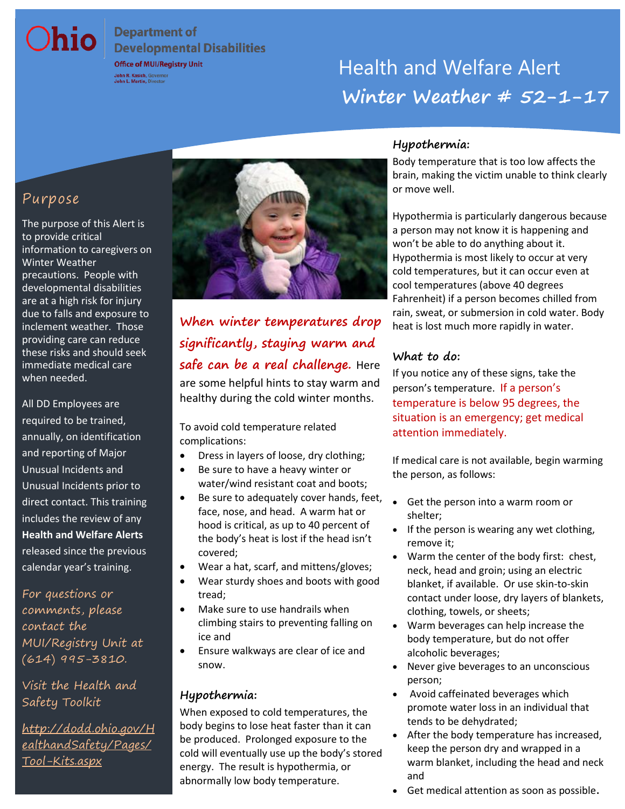# **Department of**

**Developmental Disabilities** 

# Office of MUI/Registry Unit **Winter Weather # 52-1-17**

# Purpose

Ohio

The purpose of this Alert is to provide critical information to caregivers on Winter Weather precautions. People with developmental disabilities are at a high risk for injury due to falls and exposure to inclement weather. Those providing care can reduce these risks and should seek immediate medical care when needed.

All DD Employees are required to be trained, annually, on identification and reporting of Major Unusual Incidents and Unusual Incidents prior to direct contact. This training includes the review of any **Health and Welfare Alerts**  released since the previous calendar year's training.

For questions or comments, please contact the MUI/Registry Unit at (614) 995-3810.

Visit the Health and Safety Toolkit

[http://dodd.ohio.gov/H](http://dodd.ohio.gov/HealthandSafety/Pages/Tool-Kits.aspx) [ealthandSafety/Pages/](http://dodd.ohio.gov/HealthandSafety/Pages/Tool-Kits.aspx) [Tool-Kits.aspx](http://dodd.ohio.gov/HealthandSafety/Pages/Tool-Kits.aspx)



## **When winter temperatures drop significantly, staying warm and safe can be a real challenge.** Here are some helpful hints to stay warm and healthy during the cold winter months.

To avoid cold temperature related complications:

- Dress in layers of loose, dry clothing;
- Be sure to have a heavy winter or water/wind resistant coat and boots;
- Be sure to adequately cover hands, feet, face, nose, and head. A warm hat or hood is critical, as up to 40 percent of the body's heat is lost if the head isn't covered;
- Wear a hat, scarf, and mittens/gloves;
- Wear sturdy shoes and boots with good tread;
- Make sure to use handrails when climbing stairs to preventing falling on ice and
- Ensure walkways are clear of ice and snow.

#### **Hypothermia:**

When exposed to cold temperatures, the body begins to lose heat faster than it can be produced. Prolonged exposure to the cold will eventually use up the body's stored energy. The result is hypothermia, or abnormally low body temperature.

#### **Hypothermia:**

Body temperature that is too low affects the brain, making the victim unable to think clearly or move well.

 a person may not know it is happening and Hypothermia is most likely to occur at very Hypothermia is particularly dangerous because won't be able to do anything about it. cold temperatures, but it can occur even at cool temperatures (above 40 degrees Fahrenheit) if a person becomes chilled from rain, sweat, or submersion in cold water. Body heat is lost much more rapidly in water.

#### **What to do:**

If you notice any of these signs, take the person's temperature. If a person's temperature is below 95 degrees, the situation is an emergency; get medical attention immediately.

If medical care is not available, begin warming the person, as follows:

- Get the person into a warm room or shelter;
- $\bullet$  If the person is wearing any wet clothing, remove it;
- Warm the center of the body first: chest, neck, head and groin; using an electric blanket, if available. Or use skin-to-skin contact under loose, dry layers of blankets, clothing, towels, or sheets;
- Warm beverages can help increase the body temperature, but do not offer alcoholic beverages;
- Never give beverages to an unconscious person;
- Avoid caffeinated beverages which promote water loss in an individual that tends to be dehydrated;
- After the body temperature has increased, keep the person dry and wrapped in a warm blanket, including the head and neck and
- Get medical attention as soon as possible.